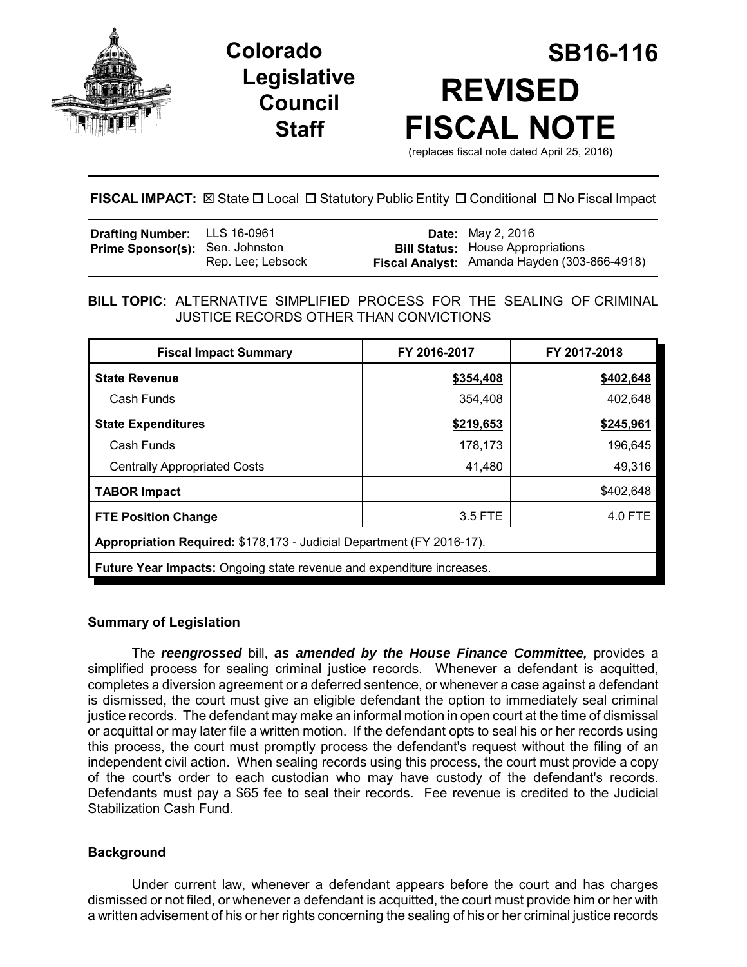

# **Legislative Council Staff**



## **FISCAL IMPACT:**  $\boxtimes$  State  $\Box$  Local  $\Box$  Statutory Public Entity  $\Box$  Conditional  $\Box$  No Fiscal Impact

| <b>Drafting Number:</b> LLS 16-0961    |                   | <b>Date:</b> May 2, 2016                                                                 |
|----------------------------------------|-------------------|------------------------------------------------------------------------------------------|
| <b>Prime Sponsor(s):</b> Sen. Johnston | Rep. Lee; Lebsock | <b>Bill Status:</b> House Appropriations<br>Fiscal Analyst: Amanda Hayden (303-866-4918) |

## **BILL TOPIC:** ALTERNATIVE SIMPLIFIED PROCESS FOR THE SEALING OF CRIMINAL JUSTICE RECORDS OTHER THAN CONVICTIONS

| <b>Fiscal Impact Summary</b>                                          | FY 2016-2017 | FY 2017-2018 |  |  |
|-----------------------------------------------------------------------|--------------|--------------|--|--|
| <b>State Revenue</b>                                                  | \$354,408    | \$402,648    |  |  |
| Cash Funds                                                            | 354,408      | 402,648      |  |  |
| <b>State Expenditures</b>                                             | \$219,653    | \$245,961    |  |  |
| Cash Funds                                                            | 178,173      | 196,645      |  |  |
| <b>Centrally Appropriated Costs</b>                                   | 41,480       | 49,316       |  |  |
| <b>TABOR Impact</b>                                                   |              | \$402,648    |  |  |
| <b>FTE Position Change</b>                                            | 3.5 FTE      | 4.0 FTE      |  |  |
| Appropriation Required: \$178,173 - Judicial Department (FY 2016-17). |              |              |  |  |
| Future Year Impacts: Ongoing state revenue and expenditure increases. |              |              |  |  |

## **Summary of Legislation**

The *reengrossed* bill, *as amended by the House Finance Committee,* provides a simplified process for sealing criminal justice records. Whenever a defendant is acquitted, completes a diversion agreement or a deferred sentence, or whenever a case against a defendant is dismissed, the court must give an eligible defendant the option to immediately seal criminal justice records. The defendant may make an informal motion in open court at the time of dismissal or acquittal or may later file a written motion. If the defendant opts to seal his or her records using this process, the court must promptly process the defendant's request without the filing of an independent civil action. When sealing records using this process, the court must provide a copy of the court's order to each custodian who may have custody of the defendant's records. Defendants must pay a \$65 fee to seal their records. Fee revenue is credited to the Judicial Stabilization Cash Fund.

## **Background**

Under current law, whenever a defendant appears before the court and has charges dismissed or not filed, or whenever a defendant is acquitted, the court must provide him or her with a written advisement of his or her rights concerning the sealing of his or her criminal justice records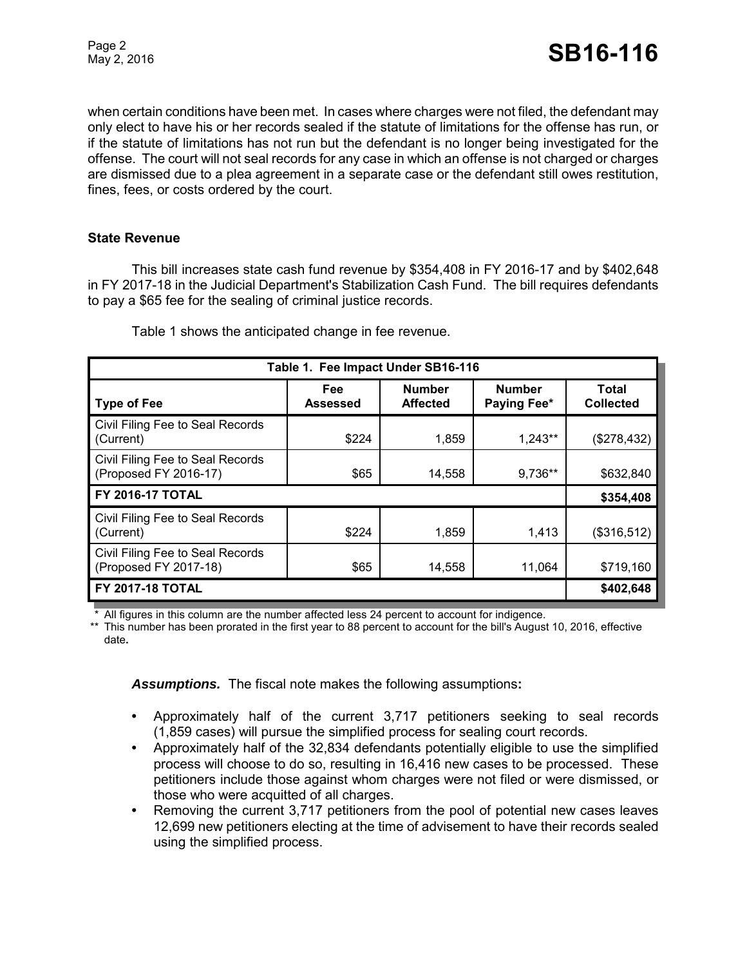when certain conditions have been met. In cases where charges were not filed, the defendant may only elect to have his or her records sealed if the statute of limitations for the offense has run, or if the statute of limitations has not run but the defendant is no longer being investigated for the offense. The court will not seal records for any case in which an offense is not charged or charges are dismissed due to a plea agreement in a separate case or the defendant still owes restitution, fines, fees, or costs ordered by the court.

### **State Revenue**

This bill increases state cash fund revenue by \$354,408 in FY 2016-17 and by \$402,648 in FY 2017-18 in the Judicial Department's Stabilization Cash Fund. The bill requires defendants to pay a \$65 fee for the sealing of criminal justice records.

| Table 1. Fee Impact Under SB16-116                        |                               |                                  |                              |                           |  |
|-----------------------------------------------------------|-------------------------------|----------------------------------|------------------------------|---------------------------|--|
| Type of Fee                                               | <b>Fee</b><br><b>Assessed</b> | <b>Number</b><br><b>Affected</b> | <b>Number</b><br>Paying Fee* | Total<br><b>Collected</b> |  |
| Civil Filing Fee to Seal Records<br>(Current)             | \$224                         | 1,859                            | 1,243**                      | (\$278,432)               |  |
| Civil Filing Fee to Seal Records<br>(Proposed FY 2016-17) | \$65                          | 14,558                           | 9,736**                      | \$632,840                 |  |
| l FY 2016-17 TOTAL                                        |                               |                                  |                              | \$354,408                 |  |
| Civil Filing Fee to Seal Records<br>(Current)             | \$224                         | 1,859                            | 1,413                        | (\$316,512)               |  |
| Civil Filing Fee to Seal Records<br>(Proposed FY 2017-18) | \$65                          | 14,558                           | 11,064                       | \$719,160                 |  |
| FY 2017-18 TOTAL                                          |                               |                                  |                              | \$402,648                 |  |

Table 1 shows the anticipated change in fee revenue.

\* All figures in this column are the number affected less 24 percent to account for indigence.

\*\* This number has been prorated in the first year to 88 percent to account for the bill's August 10, 2016, effective date**.**

*Assumptions.*The fiscal note makes the following assumptions**:**

- **•** Approximately half of the current 3,717 petitioners seeking to seal records (1,859 cases) will pursue the simplified process for sealing court records.
- **•** Approximately half of the 32,834 defendants potentially eligible to use the simplified process will choose to do so, resulting in 16,416 new cases to be processed. These petitioners include those against whom charges were not filed or were dismissed, or those who were acquitted of all charges.
- **•** Removing the current 3,717 petitioners from the pool of potential new cases leaves 12,699 new petitioners electing at the time of advisement to have their records sealed using the simplified process.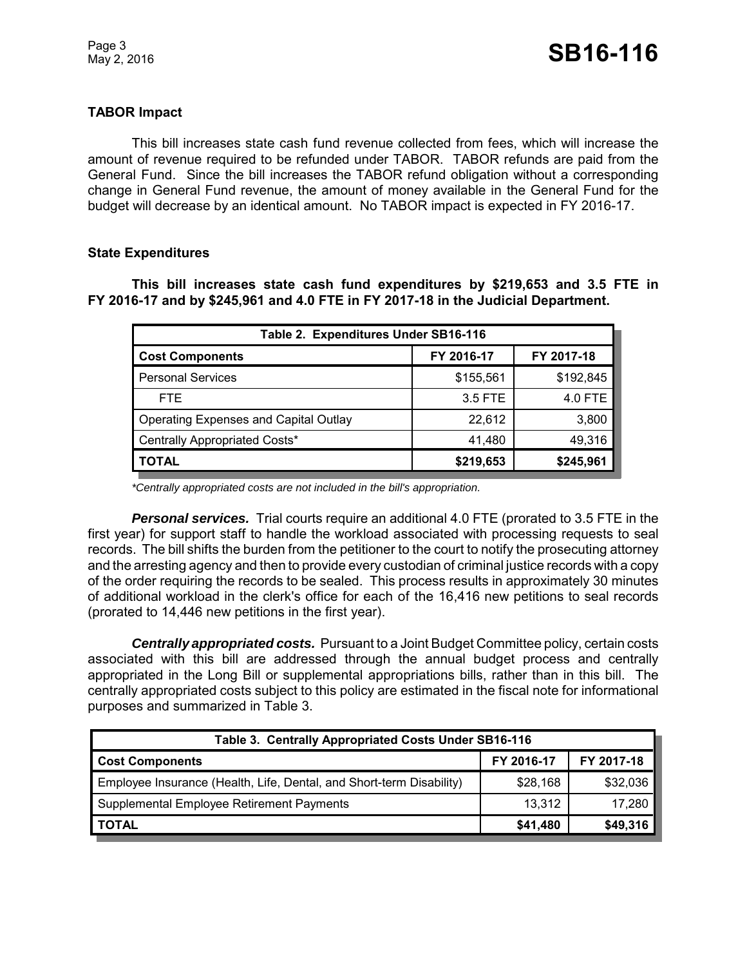## **TABOR Impact**

This bill increases state cash fund revenue collected from fees, which will increase the amount of revenue required to be refunded under TABOR. TABOR refunds are paid from the General Fund. Since the bill increases the TABOR refund obligation without a corresponding change in General Fund revenue, the amount of money available in the General Fund for the budget will decrease by an identical amount. No TABOR impact is expected in FY 2016-17.

#### **State Expenditures**

**This bill increases state cash fund expenditures by \$219,653 and 3.5 FTE in FY 2016-17 and by \$245,961 and 4.0 FTE in FY 2017-18 in the Judicial Department.**

| Table 2. Expenditures Under SB16-116         |            |            |  |  |  |
|----------------------------------------------|------------|------------|--|--|--|
| <b>Cost Components</b>                       | FY 2016-17 | FY 2017-18 |  |  |  |
| <b>Personal Services</b>                     | \$155,561  | \$192,845  |  |  |  |
| FTE.                                         | 3.5 FTE    | 4.0 FTE    |  |  |  |
| <b>Operating Expenses and Capital Outlay</b> | 22,612     | 3,800      |  |  |  |
| Centrally Appropriated Costs*                | 41,480     | 49,316     |  |  |  |
| <b>TOTAL</b>                                 | \$219,653  | \$245,961  |  |  |  |

*\*Centrally appropriated costs are not included in the bill's appropriation.*

*Personal services.* Trial courts require an additional 4.0 FTE (prorated to 3.5 FTE in the first year) for support staff to handle the workload associated with processing requests to seal records. The bill shifts the burden from the petitioner to the court to notify the prosecuting attorney and the arresting agency and then to provide every custodian of criminal justice records with a copy of the order requiring the records to be sealed. This process results in approximately 30 minutes of additional workload in the clerk's office for each of the 16,416 new petitions to seal records (prorated to 14,446 new petitions in the first year).

*Centrally appropriated costs.* Pursuant to a Joint Budget Committee policy, certain costs associated with this bill are addressed through the annual budget process and centrally appropriated in the Long Bill or supplemental appropriations bills, rather than in this bill. The centrally appropriated costs subject to this policy are estimated in the fiscal note for informational purposes and summarized in Table 3.

| Table 3. Centrally Appropriated Costs Under SB16-116                 |            |            |  |  |
|----------------------------------------------------------------------|------------|------------|--|--|
| <b>Cost Components</b>                                               | FY 2016-17 | FY 2017-18 |  |  |
| Employee Insurance (Health, Life, Dental, and Short-term Disability) | \$28,168   | \$32,036   |  |  |
| Supplemental Employee Retirement Payments                            | 13,312     | 17,280     |  |  |
| <b>TOTAL</b>                                                         | \$41,480   | \$49,316   |  |  |